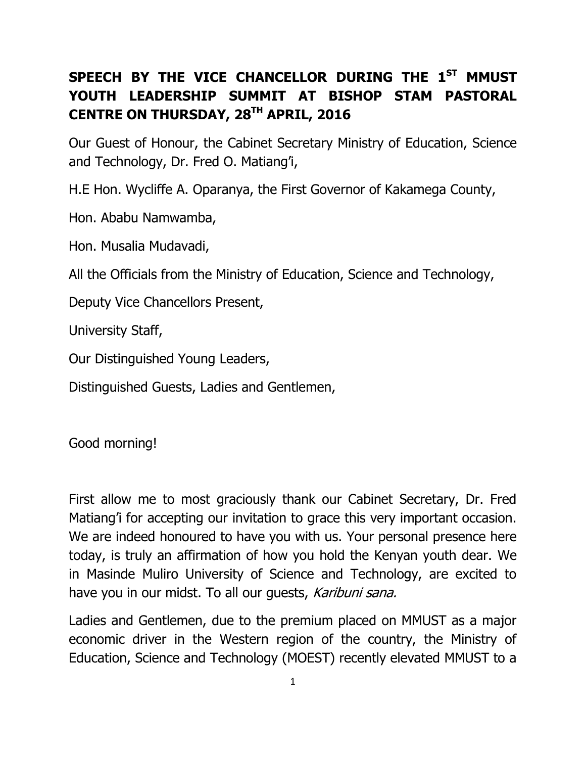## **SPEECH BY THE VICE CHANCELLOR DURING THE 1ST MMUST YOUTH LEADERSHIP SUMMIT AT BISHOP STAM PASTORAL CENTRE ON THURSDAY, 28TH APRIL, 2016**

Our Guest of Honour, the Cabinet Secretary Ministry of Education, Science and Technology, Dr. Fred O. Matiang'i,

H.E Hon. Wycliffe A. Oparanya, the First Governor of Kakamega County,

Hon. Ababu Namwamba,

Hon. Musalia Mudavadi,

All the Officials from the Ministry of Education, Science and Technology,

Deputy Vice Chancellors Present,

University Staff,

Our Distinguished Young Leaders,

Distinguished Guests, Ladies and Gentlemen,

Good morning!

First allow me to most graciously thank our Cabinet Secretary, Dr. Fred Matiang'i for accepting our invitation to grace this very important occasion. We are indeed honoured to have you with us. Your personal presence here today, is truly an affirmation of how you hold the Kenyan youth dear. We in Masinde Muliro University of Science and Technology, are excited to have you in our midst. To all our quests, Karibuni sana.

Ladies and Gentlemen, due to the premium placed on MMUST as a major economic driver in the Western region of the country, the Ministry of Education, Science and Technology (MOEST) recently elevated MMUST to a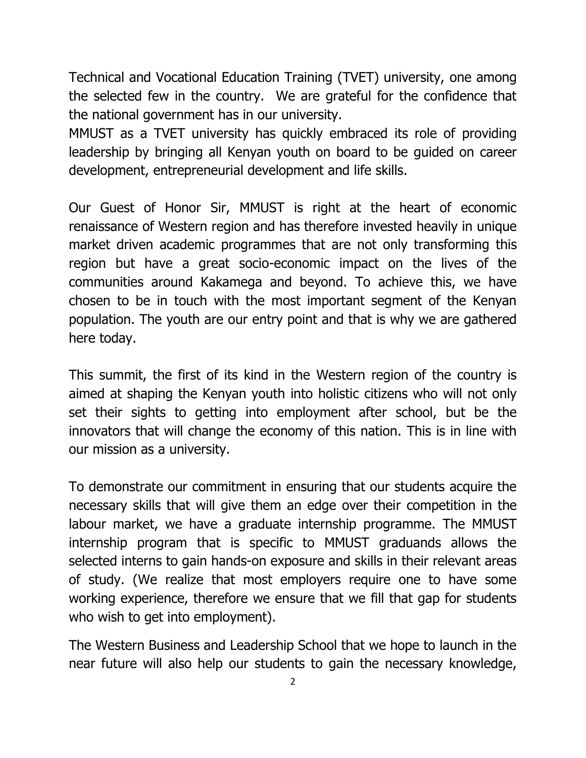Technical and Vocational Education Training (TVET) university, one among the selected few in the country. We are grateful for the confidence that the national government has in our university.

MMUST as a TVET university has quickly embraced its role of providing leadership by bringing all Kenyan youth on board to be guided on career development, entrepreneurial development and life skills.

Our Guest of Honor Sir, MMUST is right at the heart of economic renaissance of Western region and has therefore invested heavily in unique market driven academic programmes that are not only transforming this region but have a great socio-economic impact on the lives of the communities around Kakamega and beyond. To achieve this, we have chosen to be in touch with the most important segment of the Kenyan population. The youth are our entry point and that is why we are gathered here today.

This summit, the first of its kind in the Western region of the country is aimed at shaping the Kenyan youth into holistic citizens who will not only set their sights to getting into employment after school, but be the innovators that will change the economy of this nation. This is in line with our mission as a university.

To demonstrate our commitment in ensuring that our students acquire the necessary skills that will give them an edge over their competition in the labour market, we have a graduate internship programme. The MMUST internship program that is specific to MMUST graduands allows the selected interns to gain hands-on exposure and skills in their relevant areas of study. (We realize that most employers require one to have some working experience, therefore we ensure that we fill that gap for students who wish to get into employment).

The Western Business and Leadership School that we hope to launch in the near future will also help our students to gain the necessary knowledge,